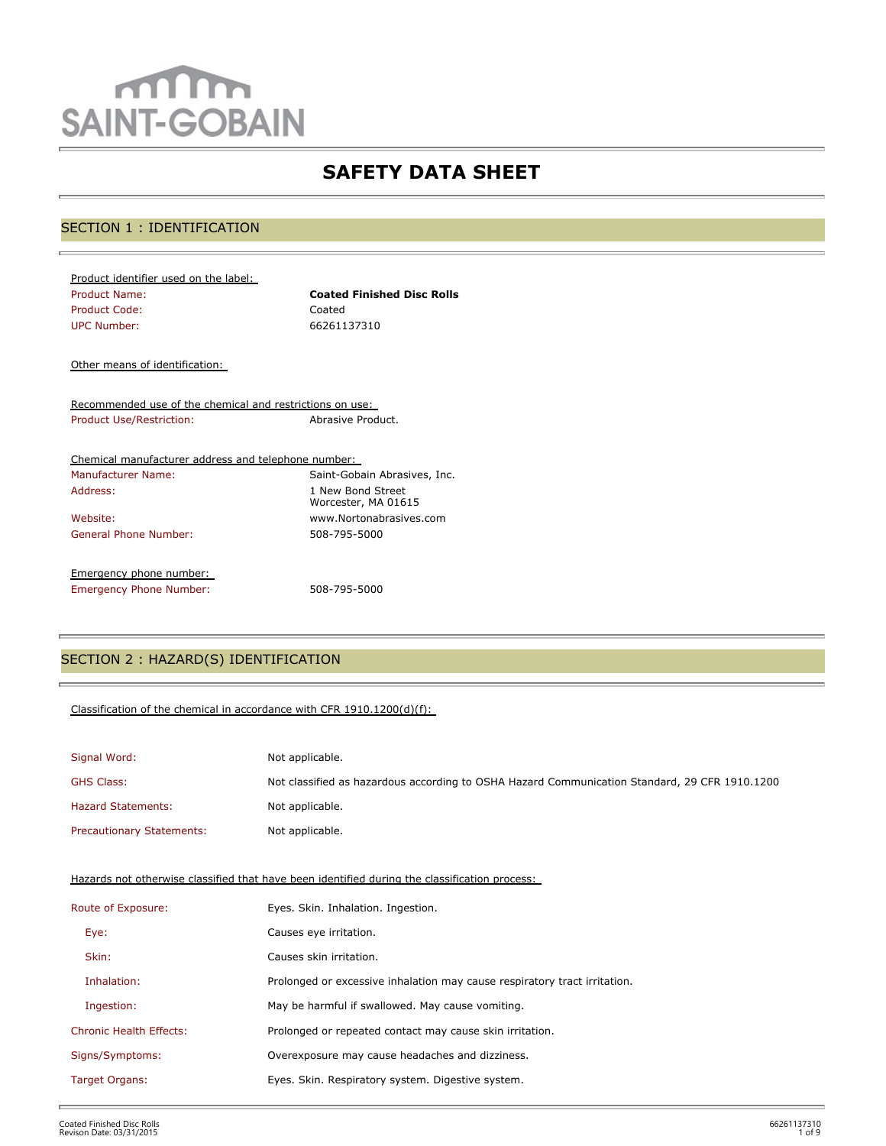# mm **SAINT-GOBAIN**

## **SAFETY DATA SHEET**

## SECTION 1 : IDENTIFICATION

| Product identifier used on the label: |                                   |
|---------------------------------------|-----------------------------------|
| <b>Product Name:</b>                  | <b>Coated Finished Disc Rolls</b> |
| Product Code:                         | Coated                            |
| UPC Number:                           | 66261137310                       |
|                                       |                                   |

Other means of identification:

Recommended use of the chemical and restrictions on use: Product Use/Restriction: Abrasive Product.

| Chemical manufacturer address and telephone number: |                                          |
|-----------------------------------------------------|------------------------------------------|
| <b>Manufacturer Name:</b>                           | Saint-Gobain Abrasives, Inc.             |
| Address:                                            | 1 New Bond Street<br>Worcester, MA 01615 |
| Website:                                            | www.Nortonabrasives.com                  |
| General Phone Number:                               | 508-795-5000                             |
| Emergency phone number:                             |                                          |
| <b>Emergency Phone Number:</b>                      | 508-795-5000                             |

## SECTION 2 : HAZARD(S) IDENTIFICATION

#### Classification of the chemical in accordance with CFR 1910.1200(d)(f):

| Signal Word:                     | Not applicable.                                                                               |
|----------------------------------|-----------------------------------------------------------------------------------------------|
| <b>GHS Class:</b>                | Not classified as hazardous according to OSHA Hazard Communication Standard, 29 CFR 1910.1200 |
| <b>Hazard Statements:</b>        | Not applicable.                                                                               |
| <b>Precautionary Statements:</b> | Not applicable.                                                                               |

Hazards not otherwise classified that have been identified during the classification process:

| Route of Exposure:             | Eyes. Skin. Inhalation. Ingestion.                                        |
|--------------------------------|---------------------------------------------------------------------------|
| Eye:                           | Causes eye irritation.                                                    |
| Skin:                          | Causes skin irritation.                                                   |
| Inhalation:                    | Prolonged or excessive inhalation may cause respiratory tract irritation. |
| Ingestion:                     | May be harmful if swallowed. May cause vomiting.                          |
| <b>Chronic Health Effects:</b> | Prolonged or repeated contact may cause skin irritation.                  |
| Signs/Symptoms:                | Overexposure may cause headaches and dizziness.                           |
| Target Organs:                 | Eyes. Skin. Respiratory system. Digestive system.                         |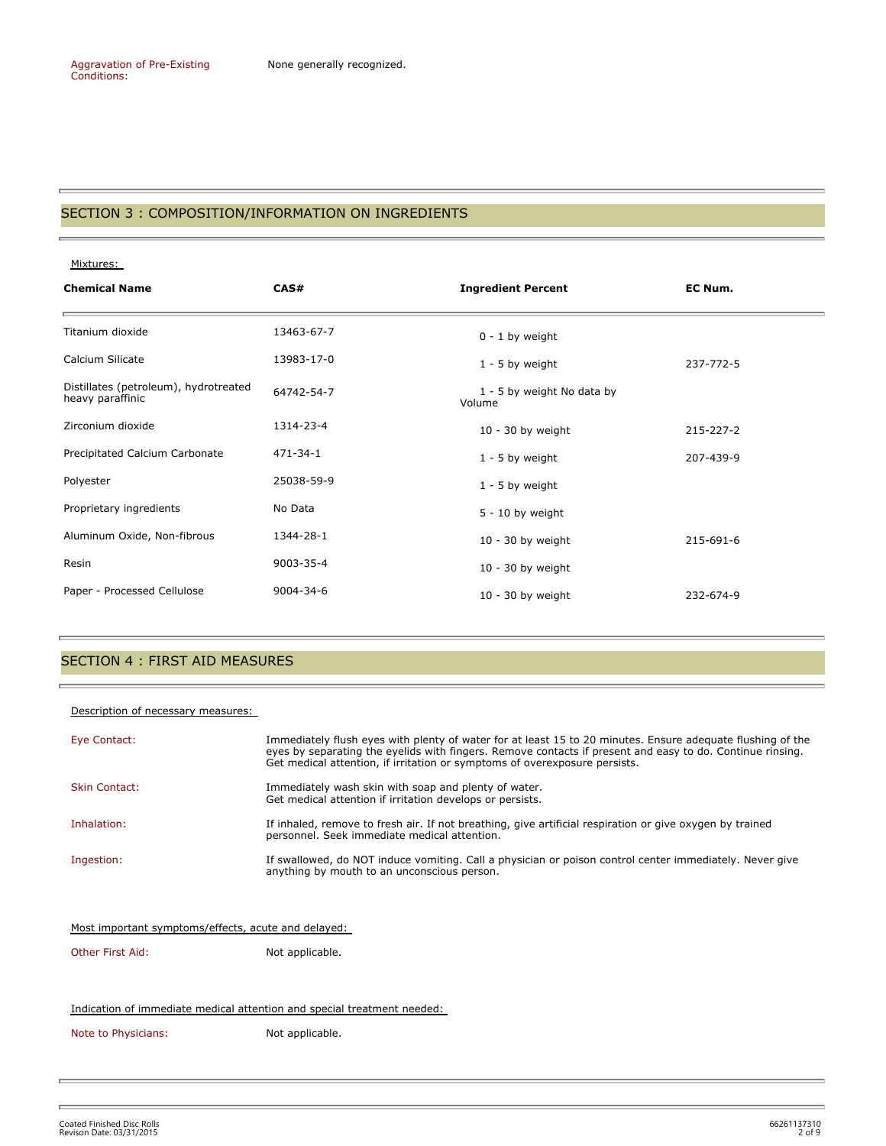#### SECTION 3 : COMPOSITION/INFORMATION ON INGREDIENTS

Mixtures:

Ē.

| <b>Chemical Name</b>                                      | CAS#           | <b>Ingredient Percent</b>            | EC Num.   |
|-----------------------------------------------------------|----------------|--------------------------------------|-----------|
| Titanium dioxide                                          | 13463-67-7     | $0 - 1$ by weight                    |           |
| Calcium Silicate                                          | 13983-17-0     | $1 - 5$ by weight                    | 237-772-5 |
| Distillates (petroleum), hydrotreated<br>heavy paraffinic | 64742-54-7     | 1 - 5 by weight No data by<br>Volume |           |
| Zirconium dioxide                                         | 1314-23-4      | $10 - 30$ by weight                  | 215-227-2 |
| Precipitated Calcium Carbonate                            | $471 - 34 - 1$ | $1 - 5$ by weight                    | 207-439-9 |
| Polyester                                                 | 25038-59-9     | $1 - 5$ by weight                    |           |
| Proprietary ingredients                                   | No Data        | $5 - 10$ by weight                   |           |
| Aluminum Oxide, Non-fibrous                               | 1344-28-1      | $10 - 30$ by weight                  | 215-691-6 |
| Resin                                                     | 9003-35-4      | $10 - 30$ by weight                  |           |
| Paper - Processed Cellulose                               | 9004-34-6      | $10 - 30$ by weight                  | 232-674-9 |

#### SECTION 4 : FIRST AID MEASURES

#### Description of necessary measures:

| Eye Contact:         | Immediately flush eyes with plenty of water for at least 15 to 20 minutes. Ensure adequate flushing of the<br>eyes by separating the eyelids with fingers. Remove contacts if present and easy to do. Continue rinsing.<br>Get medical attention, if irritation or symptoms of overexposure persists. |
|----------------------|-------------------------------------------------------------------------------------------------------------------------------------------------------------------------------------------------------------------------------------------------------------------------------------------------------|
| <b>Skin Contact:</b> | Immediately wash skin with soap and plenty of water.<br>Get medical attention if irritation develops or persists.                                                                                                                                                                                     |
| Inhalation:          | If inhaled, remove to fresh air. If not breathing, give artificial respiration or give oxygen by trained<br>personnel. Seek immediate medical attention.                                                                                                                                              |
| Ingestion:           | If swallowed, do NOT induce vomiting. Call a physician or poison control center immediately. Never give<br>anything by mouth to an unconscious person.                                                                                                                                                |

| Most important symptoms/effects, acute and delayed: |  |  |
|-----------------------------------------------------|--|--|
|                                                     |  |  |

Other First Aid: Not applicable.

Indication of immediate medical attention and special treatment needed:

Note to Physicians: Not applicable.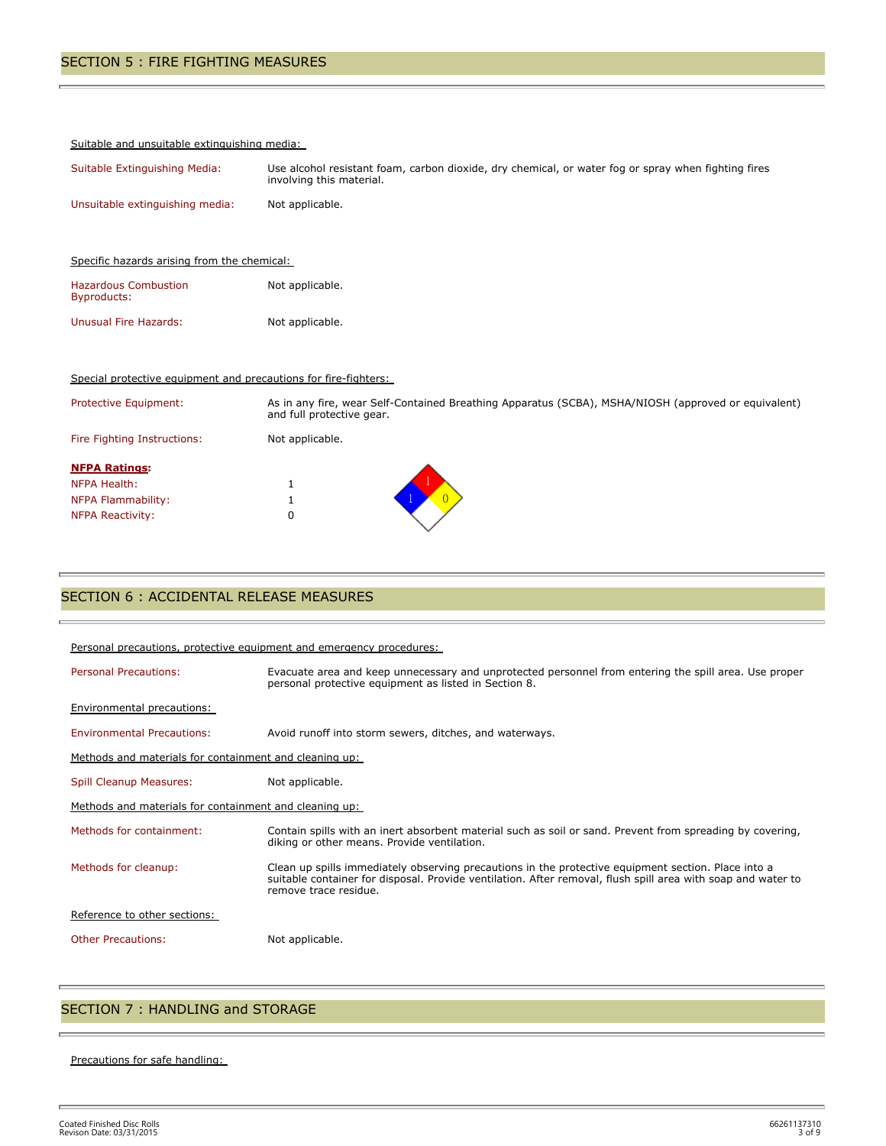#### Suitable and unsuitable extinguishing media:

| Suitable Extinguishing Media:   | Use alcohol resistant foam, carbon dioxide, dry chemical, or water fog or spray when fighting fires<br>involving this material. |
|---------------------------------|---------------------------------------------------------------------------------------------------------------------------------|
| Unsuitable extinguishing media: | Not applicable.                                                                                                                 |

| Specific hazards arising from the chemical: |                 |  |
|---------------------------------------------|-----------------|--|
| <b>Hazardous Combustion</b><br>Byproducts:  | Not applicable. |  |
| Unusual Fire Hazards:                       | Not applicable. |  |

#### Special protective equipment and precautions for fire-fighters:

| Protective Equipment:                                                                 | As in any fire, wear Self-Contained Breathing Apparatus (SCBA), MSHA/NIOSH (approved or equivalent)<br>and full protective gear. |
|---------------------------------------------------------------------------------------|----------------------------------------------------------------------------------------------------------------------------------|
| Fire Fighting Instructions:                                                           | Not applicable.                                                                                                                  |
| <b>NFPA Ratings:</b><br>NFPA Health:<br>NFPA Flammability:<br><b>NFPA Reactivity:</b> | U                                                                                                                                |

## SECTION 6 : ACCIDENTAL RELEASE MEASURES

| Personal precautions, protective equipment and emergency procedures: |                                                                                                                                                                                                                                              |  |  |
|----------------------------------------------------------------------|----------------------------------------------------------------------------------------------------------------------------------------------------------------------------------------------------------------------------------------------|--|--|
| <b>Personal Precautions:</b>                                         | Evacuate area and keep unnecessary and unprotected personnel from entering the spill area. Use proper<br>personal protective equipment as listed in Section 8.                                                                               |  |  |
| <b>Environmental precautions:</b>                                    |                                                                                                                                                                                                                                              |  |  |
| <b>Environmental Precautions:</b>                                    | Avoid runoff into storm sewers, ditches, and waterways.                                                                                                                                                                                      |  |  |
| Methods and materials for containment and cleaning up:               |                                                                                                                                                                                                                                              |  |  |
| Spill Cleanup Measures:                                              | Not applicable.                                                                                                                                                                                                                              |  |  |
| Methods and materials for containment and cleaning up:               |                                                                                                                                                                                                                                              |  |  |
| Methods for containment:                                             | Contain spills with an inert absorbent material such as soil or sand. Prevent from spreading by covering,<br>diking or other means. Provide ventilation.                                                                                     |  |  |
| Methods for cleanup:                                                 | Clean up spills immediately observing precautions in the protective equipment section. Place into a<br>suitable container for disposal. Provide ventilation. After removal, flush spill area with soap and water to<br>remove trace residue. |  |  |
| Reference to other sections:                                         |                                                                                                                                                                                                                                              |  |  |
| <b>Other Precautions:</b>                                            | Not applicable.                                                                                                                                                                                                                              |  |  |

## SECTION 7 : HANDLING and STORAGE

#### Precautions for safe handling:

Ē.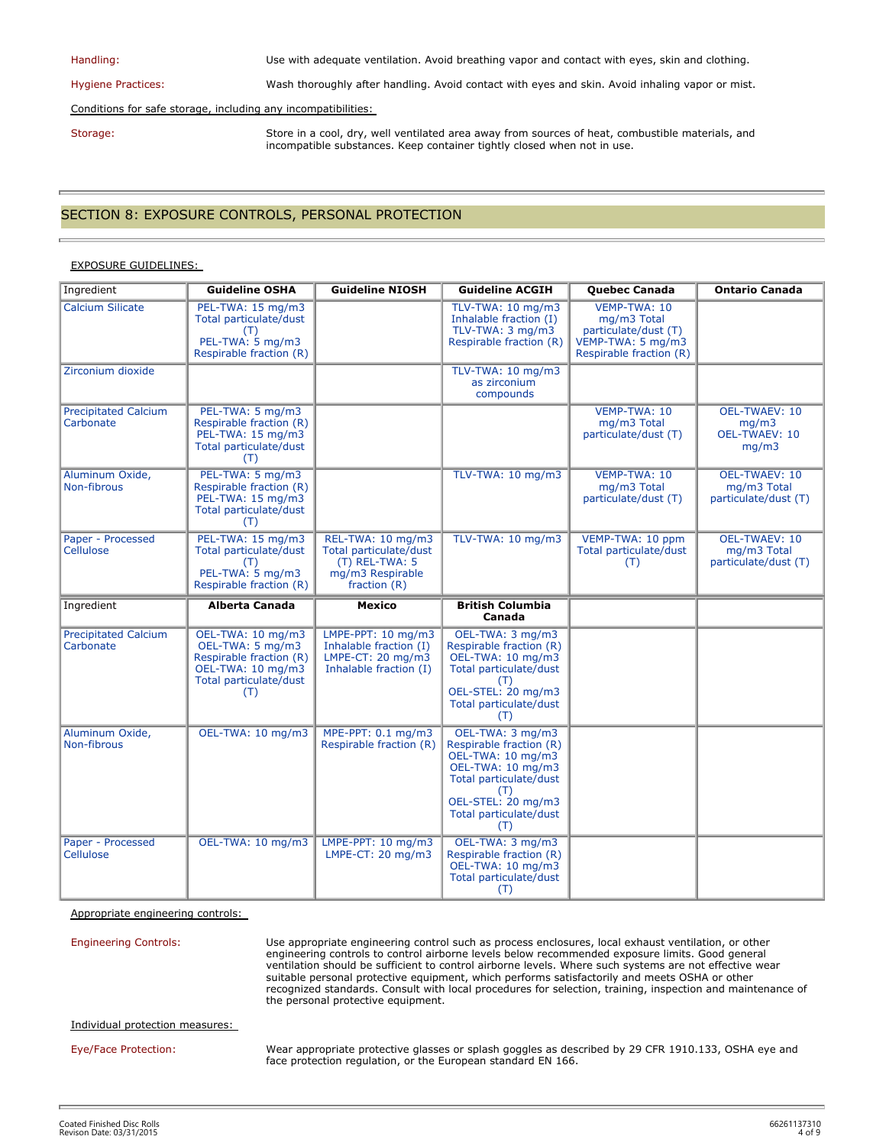| Handling:                                                     | Use with adequate ventilation. Avoid breathing vapor and contact with eyes, skin and clothing.                                                                              |  |
|---------------------------------------------------------------|-----------------------------------------------------------------------------------------------------------------------------------------------------------------------------|--|
| <b>Hygiene Practices:</b>                                     | Wash thoroughly after handling. Avoid contact with eyes and skin. Avoid inhaling vapor or mist.                                                                             |  |
| Conditions for safe storage, including any incompatibilities: |                                                                                                                                                                             |  |
| Storage:                                                      | Store in a cool, dry, well ventilated area away from sources of heat, combustible materials, and<br>incompatible substances. Keep container tightly closed when not in use. |  |

## SECTION 8: EXPOSURE CONTROLS, PERSONAL PROTECTION

#### EXPOSURE GUIDELINES:

| Ingredient                               | <b>Guideline OSHA</b>                                                                                                  | <b>Guideline NIOSH</b>                                                                               | <b>Guideline ACGIH</b>                                                                                                                                                        | <b>Quebec Canada</b>                                                                                | <b>Ontario Canada</b>                                       |
|------------------------------------------|------------------------------------------------------------------------------------------------------------------------|------------------------------------------------------------------------------------------------------|-------------------------------------------------------------------------------------------------------------------------------------------------------------------------------|-----------------------------------------------------------------------------------------------------|-------------------------------------------------------------|
| <b>Calcium Silicate</b>                  | PEL-TWA: 15 mg/m3<br>Total particulate/dust<br>(T)<br>PEL-TWA: 5 mg/m3<br>Respirable fraction (R)                      |                                                                                                      | TLV-TWA: 10 mg/m3<br>Inhalable fraction (I)<br>TLV-TWA: 3 mg/m3<br>Respirable fraction (R)                                                                                    | VEMP-TWA: 10<br>mg/m3 Total<br>particulate/dust (T)<br>VEMP-TWA: 5 mg/m3<br>Respirable fraction (R) |                                                             |
| Zirconium dioxide                        |                                                                                                                        |                                                                                                      | TLV-TWA: 10 mg/m3<br>as zirconium<br>compounds                                                                                                                                |                                                                                                     |                                                             |
| <b>Precipitated Calcium</b><br>Carbonate | PEL-TWA: 5 mg/m3<br>Respirable fraction (R)<br>PEL-TWA: 15 mg/m3<br>Total particulate/dust<br>(T)                      |                                                                                                      |                                                                                                                                                                               | VEMP-TWA: 10<br>mg/m3 Total<br>particulate/dust (T)                                                 | OEL-TWAEV: 10<br>mq/m3<br>OEL-TWAEV: 10<br>mg/m3            |
| Aluminum Oxide,<br>Non-fibrous           | PEL-TWA: 5 mg/m3<br>Respirable fraction (R)<br>PEL-TWA: 15 mg/m3<br>Total particulate/dust<br>(T)                      |                                                                                                      | TLV-TWA: 10 mg/m3                                                                                                                                                             | VEMP-TWA: 10<br>mg/m3 Total<br>particulate/dust (T)                                                 | <b>OEL-TWAEV: 10</b><br>mg/m3 Total<br>particulate/dust (T) |
| Paper - Processed<br>Cellulose           | PEL-TWA: 15 mg/m3<br>Total particulate/dust<br>(T)<br>PEL-TWA: 5 mg/m3<br>Respirable fraction (R)                      | REL-TWA: 10 mg/m3<br>Total particulate/dust<br>(T) REL-TWA: 5<br>mg/m3 Respirable<br>fraction $(R)$  | TLV-TWA: 10 mg/m3                                                                                                                                                             | VEMP-TWA: 10 ppm<br>Total particulate/dust<br>(T)                                                   | <b>OEL-TWAEV: 10</b><br>mg/m3 Total<br>particulate/dust (T) |
| Ingredient                               | <b>Alberta Canada</b>                                                                                                  | <b>Mexico</b>                                                                                        | <b>British Columbia</b><br>Canada                                                                                                                                             |                                                                                                     |                                                             |
| <b>Precipitated Calcium</b><br>Carbonate | OEL-TWA: 10 mg/m3<br>OEL-TWA: 5 mg/m3<br>Respirable fraction (R)<br>OEL-TWA: 10 mg/m3<br>Total particulate/dust<br>(T) | LMPE-PPT: $10 \text{ mg/m}$<br>Inhalable fraction (I)<br>LMPE-CT: 20 mg/m3<br>Inhalable fraction (I) | OEL-TWA: 3 mg/m3<br>Respirable fraction (R)<br>OEL-TWA: 10 mg/m3<br>Total particulate/dust<br>(T)<br>OEL-STEL: 20 mg/m3<br>Total particulate/dust<br>(T)                      |                                                                                                     |                                                             |
| Aluminum Oxide,<br>Non-fibrous           | OEL-TWA: 10 mg/m3                                                                                                      | MPE-PPT: 0.1 mg/m3<br>Respirable fraction (R)                                                        | OEL-TWA: 3 mg/m3<br>Respirable fraction (R)<br>OEL-TWA: 10 mg/m3<br>OEL-TWA: 10 mg/m3<br>Total particulate/dust<br>(T)<br>OEL-STEL: 20 mg/m3<br>Total particulate/dust<br>(T) |                                                                                                     |                                                             |
| Paper - Processed<br>Cellulose           | OEL-TWA: 10 mg/m3                                                                                                      | LMPE-PPT: $10 \text{ mg/m}$<br>LMPE-CT: 20 mg/m3                                                     | OEL-TWA: 3 mg/m3<br>Respirable fraction (R)<br>OEL-TWA: 10 mg/m3<br>Total particulate/dust<br>(T)                                                                             |                                                                                                     |                                                             |

Appropriate engineering controls:

Engineering Controls: Use appropriate engineering control such as process enclosures, local exhaust ventilation, or other engineering controls to control airborne levels below recommended exposure limits. Good general ventilation should be sufficient to control airborne levels. Where such systems are not effective wear suitable personal protective equipment, which performs satisfactorily and meets OSHA or other recognized standards. Consult with local procedures for selection, training, inspection and maintenance of the personal protective equipment.

Individual protection measures:

Eye/Face Protection: Wear appropriate protective glasses or splash goggles as described by 29 CFR 1910.133, OSHA eye and face protection regulation, or the European standard EN 166.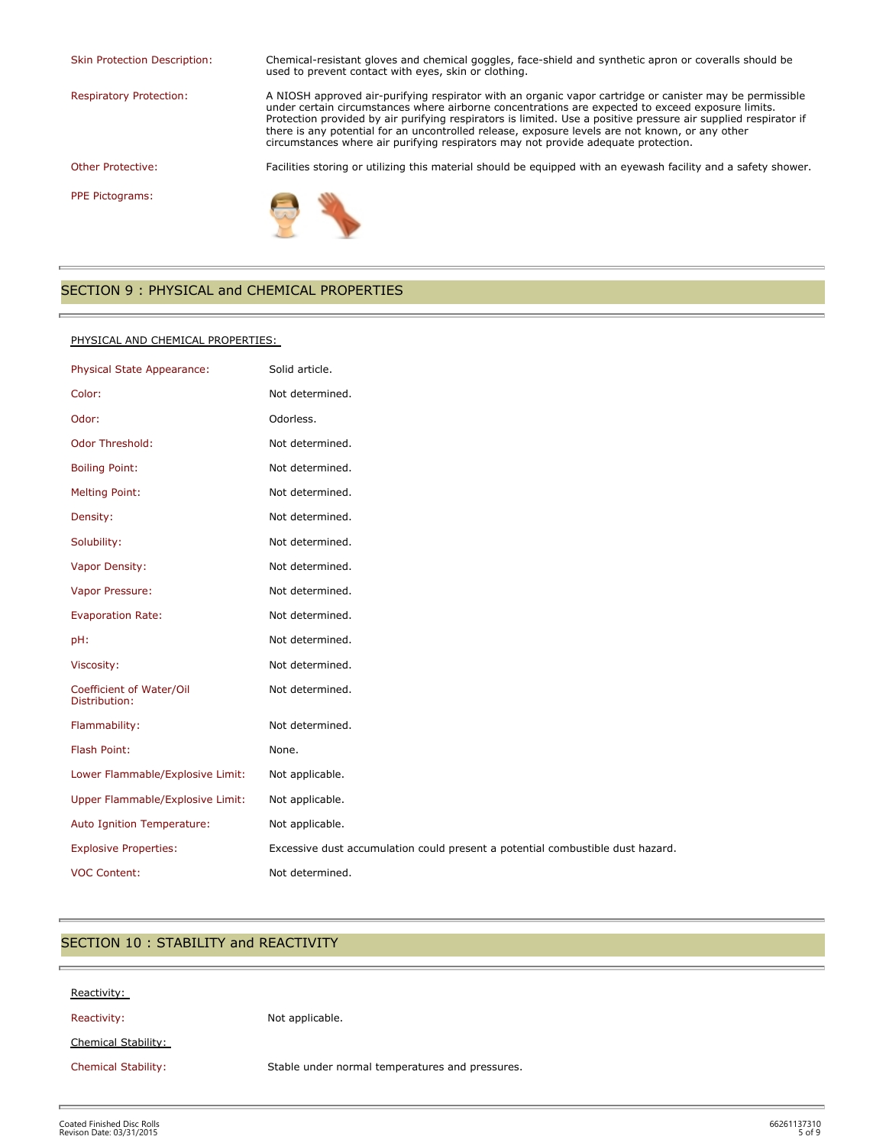Skin Protection Description: Chemical-resistant gloves and chemical goggles, face-shield and synthetic apron or coveralls should be

used to prevent contact with eyes, skin or clothing. Respiratory Protection: A NIOSH approved air-purifying respirator with an organic vapor cartridge or canister may be permissible under certain circumstances where airborne concentrations are expected to exceed exposure limits. Protection provided by air purifying respirators is limited. Use a positive pressure air supplied respirator if there is any potential for an uncontrolled release, exposure levels are not known, or any other

circumstances where air purifying respirators may not provide adequate protection.

Other Protective: Facilities storing or utilizing this material should be equipped with an eyewash facility and a safety shower.

PPE Pictograms:



#### SECTION 9 : PHYSICAL and CHEMICAL PROPERTIES

#### PHYSICAL AND CHEMICAL PROPERTIES:

| Physical State Appearance:                | Solid article.                                                                 |
|-------------------------------------------|--------------------------------------------------------------------------------|
| Color:                                    | Not determined.                                                                |
| Odor:                                     | Odorless.                                                                      |
| Odor Threshold:                           | Not determined.                                                                |
| <b>Boiling Point:</b>                     | Not determined.                                                                |
| <b>Melting Point:</b>                     | Not determined.                                                                |
| Density:                                  | Not determined.                                                                |
| Solubility:                               | Not determined.                                                                |
| Vapor Density:                            | Not determined.                                                                |
| Vapor Pressure:                           | Not determined.                                                                |
| <b>Evaporation Rate:</b>                  | Not determined.                                                                |
| pH:                                       | Not determined.                                                                |
| Viscosity:                                | Not determined.                                                                |
| Coefficient of Water/Oil<br>Distribution: | Not determined.                                                                |
| Flammability:                             | Not determined.                                                                |
| Flash Point:                              | None.                                                                          |
| Lower Flammable/Explosive Limit:          | Not applicable.                                                                |
| Upper Flammable/Explosive Limit:          | Not applicable.                                                                |
| Auto Ignition Temperature:                | Not applicable.                                                                |
| <b>Explosive Properties:</b>              | Excessive dust accumulation could present a potential combustible dust hazard. |
| <b>VOC Content:</b>                       | Not determined.                                                                |

## SECTION 10 : STABILITY and REACTIVITY

| Reactivity:                |                                                 |
|----------------------------|-------------------------------------------------|
| Reactivity:                | Not applicable.                                 |
| Chemical Stability:        |                                                 |
| <b>Chemical Stability:</b> | Stable under normal temperatures and pressures. |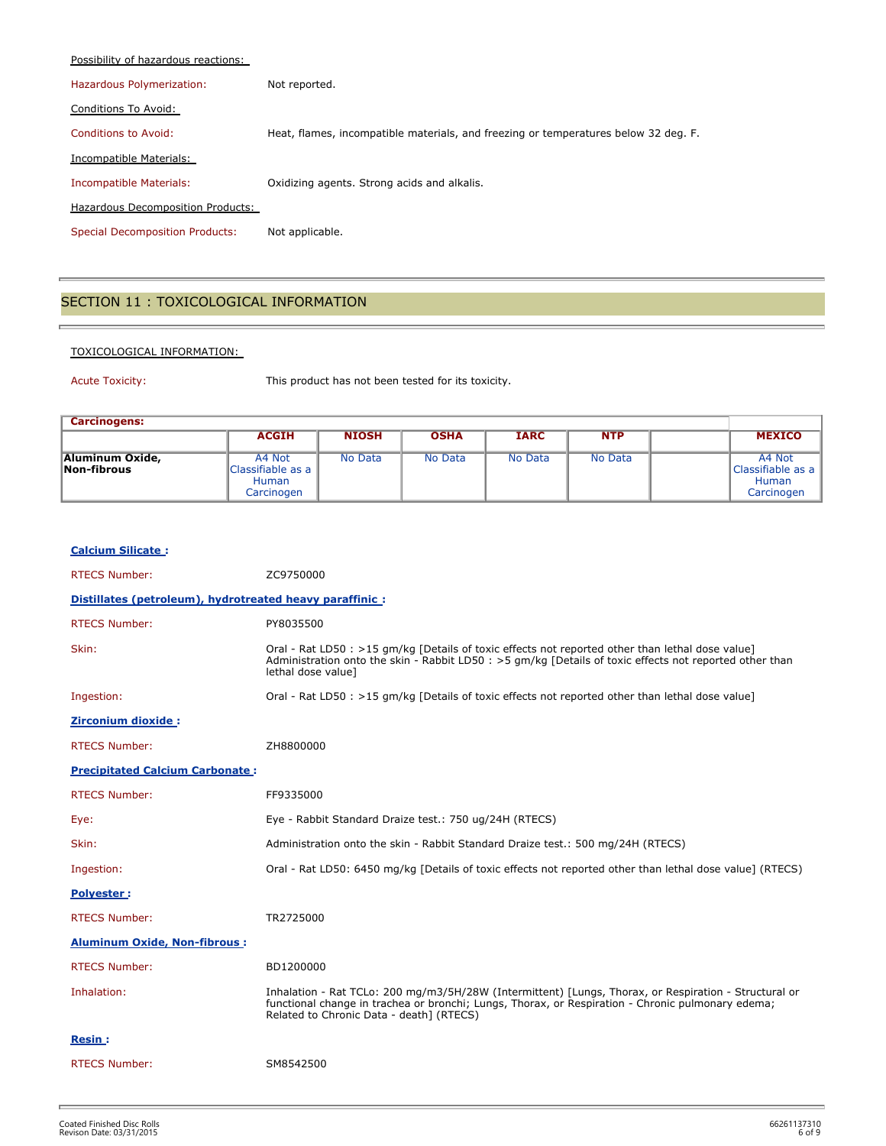| Possibility of hazardous reactions:    |                                                                                     |
|----------------------------------------|-------------------------------------------------------------------------------------|
| Hazardous Polymerization:              | Not reported.                                                                       |
| Conditions To Avoid:                   |                                                                                     |
| Conditions to Avoid:                   | Heat, flames, incompatible materials, and freezing or temperatures below 32 deg. F. |
| Incompatible Materials:                |                                                                                     |
| Incompatible Materials:                | Oxidizing agents. Strong acids and alkalis.                                         |
| Hazardous Decomposition Products:      |                                                                                     |
| <b>Special Decomposition Products:</b> | Not applicable.                                                                     |

## SECTION 11 : TOXICOLOGICAL INFORMATION

#### TOXICOLOGICAL INFORMATION:

'n

Acute Toxicity: This product has not been tested for its toxicity.

| <b>Carcinogens:</b>            |                                                           |              |             |             |            |                                                    |
|--------------------------------|-----------------------------------------------------------|--------------|-------------|-------------|------------|----------------------------------------------------|
|                                | <b>ACGIH</b>                                              | <b>NIOSH</b> | <b>OSHA</b> | <b>IARC</b> | <b>NTP</b> | <b>MEXICO</b>                                      |
| Aluminum Oxide,<br>Non-fibrous | A4 Not<br>Classifiable as a<br><b>Human</b><br>Carcinogen | No Data      | No Data     | No Data     | No Data    | A4 Not<br>Classifiable as a<br>Human<br>Carcinogen |

| <b>Calcium Silicate:</b>                                 |                                                                                                                                                                                                                                                        |
|----------------------------------------------------------|--------------------------------------------------------------------------------------------------------------------------------------------------------------------------------------------------------------------------------------------------------|
| <b>RTECS Number:</b>                                     | ZC9750000                                                                                                                                                                                                                                              |
| Distillates (petroleum), hydrotreated heavy paraffinic : |                                                                                                                                                                                                                                                        |
| <b>RTECS Number:</b>                                     | PY8035500                                                                                                                                                                                                                                              |
| Skin:                                                    | Oral - Rat LD50 : >15 qm/kg [Details of toxic effects not reported other than lethal dose value]<br>Administration onto the skin - Rabbit LD50 : > 5 gm/kg [Details of toxic effects not reported other than<br>lethal dose valuel                     |
| Ingestion:                                               | Oral - Rat LD50 : >15 gm/kg [Details of toxic effects not reported other than lethal dose value]                                                                                                                                                       |
| Zirconium dioxide:                                       |                                                                                                                                                                                                                                                        |
| <b>RTECS Number:</b>                                     | ZH8800000                                                                                                                                                                                                                                              |
| <b>Precipitated Calcium Carbonate:</b>                   |                                                                                                                                                                                                                                                        |
| <b>RTECS Number:</b>                                     | FF9335000                                                                                                                                                                                                                                              |
| Eye:                                                     | Eye - Rabbit Standard Draize test.: 750 ug/24H (RTECS)                                                                                                                                                                                                 |
| Skin:                                                    | Administration onto the skin - Rabbit Standard Draize test.: 500 mg/24H (RTECS)                                                                                                                                                                        |
| Ingestion:                                               | Oral - Rat LD50: 6450 mg/kg [Details of toxic effects not reported other than lethal dose value] (RTECS)                                                                                                                                               |
| <b>Polyester:</b>                                        |                                                                                                                                                                                                                                                        |
| <b>RTECS Number:</b>                                     | TR2725000                                                                                                                                                                                                                                              |
| <b>Aluminum Oxide, Non-fibrous:</b>                      |                                                                                                                                                                                                                                                        |
| <b>RTECS Number:</b>                                     | BD1200000                                                                                                                                                                                                                                              |
| Inhalation:                                              | Inhalation - Rat TCLo: 200 mg/m3/5H/28W (Intermittent) [Lungs, Thorax, or Respiration - Structural or<br>functional change in trachea or bronchi; Lungs, Thorax, or Respiration - Chronic pulmonary edema;<br>Related to Chronic Data - death] (RTECS) |
| <b>Resin:</b>                                            |                                                                                                                                                                                                                                                        |
| <b>RTECS Number:</b>                                     | SM8542500                                                                                                                                                                                                                                              |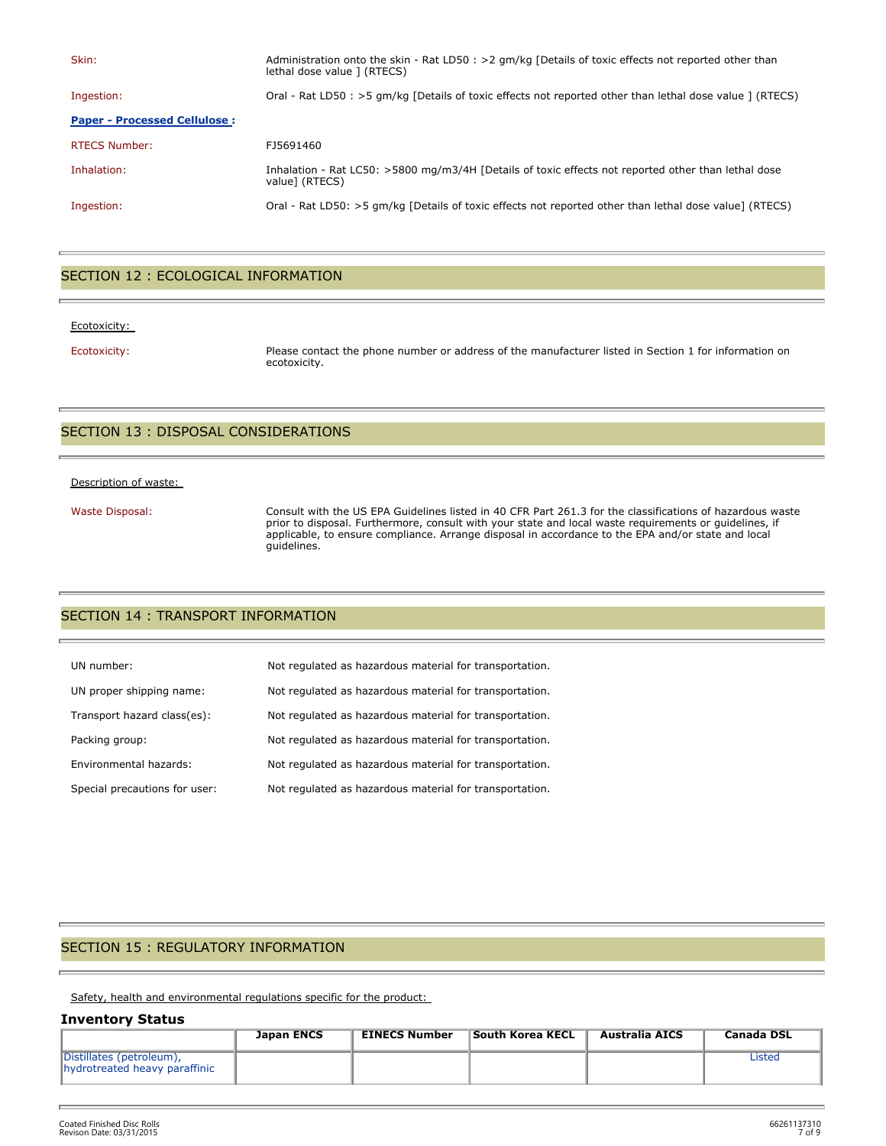| Skin:                               | Administration onto the skin - Rat LD50 : >2 qm/kg [Details of toxic effects not reported other than<br>lethal dose value ] (RTECS) |
|-------------------------------------|-------------------------------------------------------------------------------------------------------------------------------------|
| Ingestion:                          | Oral - Rat LD50 : >5 gm/kg [Details of toxic effects not reported other than lethal dose value ] (RTECS)                            |
| <b>Paper - Processed Cellulose:</b> |                                                                                                                                     |
| <b>RTECS Number:</b>                | FJ5691460                                                                                                                           |
| Inhalation:                         | Inhalation - Rat LC50: >5800 mg/m3/4H [Details of toxic effects not reported other than lethal dose<br>value] (RTECS)               |
| Ingestion:                          | Oral - Rat LD50: >5 gm/kg [Details of toxic effects not reported other than lethal dose value] (RTECS)                              |

## SECTION 12 : ECOLOGICAL INFORMATION

#### Ecotoxicity:

Ecotoxicity: Please contact the phone number or address of the manufacturer listed in Section 1 for information on ecotoxicity.

#### SECTION 13 : DISPOSAL CONSIDERATIONS

#### Description of waste:

Waste Disposal: Consult with the US EPA Guidelines listed in 40 CFR Part 261.3 for the classifications of hazardous waste prior to disposal. Furthermore, consult with your state and local waste requirements or guidelines, if applicable, to ensure compliance. Arrange disposal in accordance to the EPA and/or state and local guidelines.

## SECTION 14 : TRANSPORT INFORMATION

| UN number:                    | Not regulated as hazardous material for transportation. |
|-------------------------------|---------------------------------------------------------|
| UN proper shipping name:      | Not regulated as hazardous material for transportation. |
| Transport hazard class(es):   | Not regulated as hazardous material for transportation. |
| Packing group:                | Not regulated as hazardous material for transportation. |
| Environmental hazards:        | Not regulated as hazardous material for transportation. |
| Special precautions for user: | Not regulated as hazardous material for transportation. |

## SECTION 15 : REGULATORY INFORMATION

Safety, health and environmental regulations specific for the product:

#### **Inventory Status**

|                                                           | <b>Japan ENCS</b> | <b>EINECS Number</b> | South Korea KECL | Australia AICS | Canada DSL |
|-----------------------------------------------------------|-------------------|----------------------|------------------|----------------|------------|
| Distillates (petroleum),<br>hydrotreated heavy paraffinic |                   |                      |                  |                | Listed     |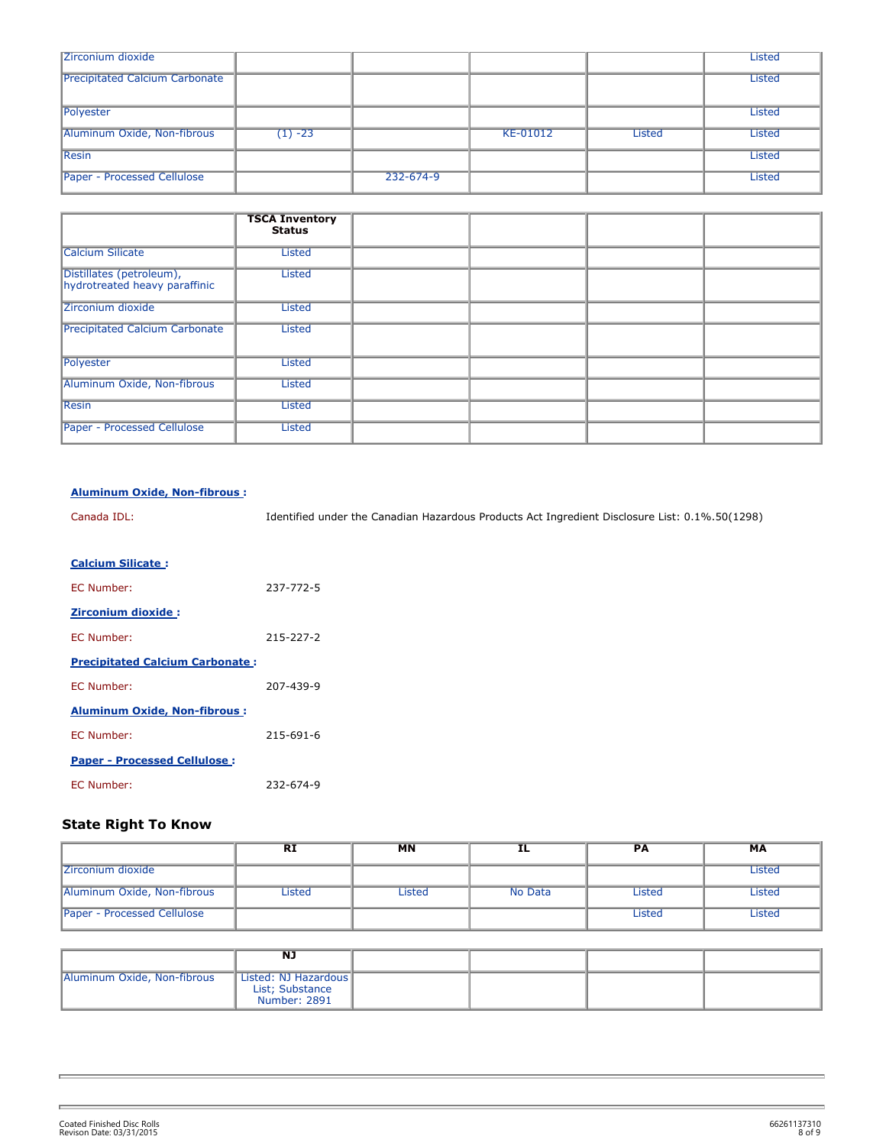| Zirconium dioxide                     |           |           |          |               | <b>Listed</b> |
|---------------------------------------|-----------|-----------|----------|---------------|---------------|
| <b>Precipitated Calcium Carbonate</b> |           |           |          |               | <b>Listed</b> |
| Polyester                             |           |           |          |               | <b>Listed</b> |
| Aluminum Oxide, Non-fibrous           | $(1) -23$ |           | KE-01012 | <b>Listed</b> | <b>Listed</b> |
| <b>Resin</b>                          |           |           |          |               | Listed        |
| <b>Paper - Processed Cellulose</b>    |           | 232-674-9 |          |               | <b>Listed</b> |

|                                                           | <b>TSCA Inventory</b><br><b>Status</b> |  |  |
|-----------------------------------------------------------|----------------------------------------|--|--|
| <b>Calcium Silicate</b>                                   | <b>Listed</b>                          |  |  |
| Distillates (petroleum),<br>hydrotreated heavy paraffinic | <b>Listed</b>                          |  |  |
| Zirconium dioxide                                         | <b>Listed</b>                          |  |  |
| <b>Precipitated Calcium Carbonate</b>                     | Listed                                 |  |  |
| Polyester                                                 | <b>Listed</b>                          |  |  |
| Aluminum Oxide, Non-fibrous                               | <b>Listed</b>                          |  |  |
| <b>Resin</b>                                              | <b>Listed</b>                          |  |  |
| <b>Paper - Processed Cellulose</b>                        | Listed                                 |  |  |

#### **Aluminum Oxide, Non-fibrous :**

| Canada IDL: | Identified under the Canadian Hazardous Products Act Ingredient Disclosure List: 0.1%.50(1298) |
|-------------|------------------------------------------------------------------------------------------------|
|             |                                                                                                |

#### **Calcium Silicate :**

| <b>FC Number:</b>                      | 237-772-5 |
|----------------------------------------|-----------|
| <b>Zirconium dioxide:</b>              |           |
| EC Number:                             | 215-227-2 |
| <b>Precipitated Calcium Carbonate:</b> |           |
| <b>FC Number:</b>                      | 207-439-9 |
| <b>Aluminum Oxide, Non-fibrous:</b>    |           |
| <b>FC Number:</b>                      | 215-691-6 |
| <b>Paper - Processed Cellulose:</b>    |           |
| <b>FC Number:</b>                      | 232-674-9 |

## **State Right To Know**

|                             | <b>RI</b> | МN     | ᅭ       | РA     | МA     |
|-----------------------------|-----------|--------|---------|--------|--------|
| Zirconium dioxide           |           |        |         |        | Listed |
| Aluminum Oxide, Non-fibrous | Listed    | Listed | No Data | Listed | Listed |
| Paper - Processed Cellulose |           |        |         | Listed | Listed |

|                             | <b>NJ</b>                                               |  |  |
|-----------------------------|---------------------------------------------------------|--|--|
| Aluminum Oxide, Non-fibrous | Listed: NJ Hazardous<br>List; Substance<br>Number: 2891 |  |  |

y.